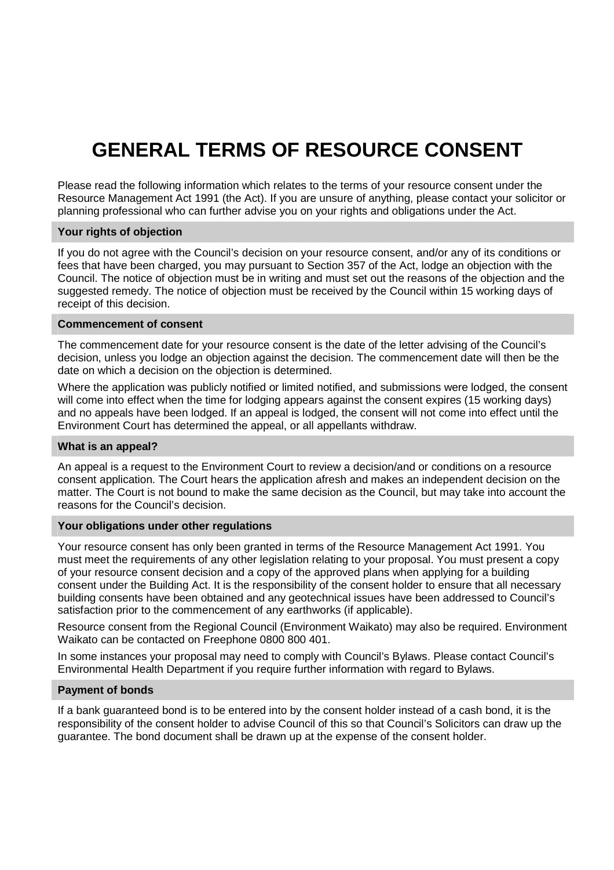# **GENERAL TERMS OF RESOURCE CONSENT**

Please read the following information which relates to the terms of your resource consent under the Resource Management Act 1991 (the Act). If you are unsure of anything, please contact your solicitor or planning professional who can further advise you on your rights and obligations under the Act.

# **Your rights of objection**

If you do not agree with the Council's decision on your resource consent, and/or any of its conditions or fees that have been charged, you may pursuant to Section 357 of the Act, lodge an objection with the Council. The notice of objection must be in writing and must set out the reasons of the objection and the suggested remedy. The notice of objection must be received by the Council within 15 working days of receipt of this decision.

#### **Commencement of consent**

The commencement date for your resource consent is the date of the letter advising of the Council's decision, unless you lodge an objection against the decision. The commencement date will then be the date on which a decision on the objection is determined.

Where the application was publicly notified or limited notified, and submissions were lodged, the consent will come into effect when the time for lodging appears against the consent expires (15 working days) and no appeals have been lodged. If an appeal is lodged, the consent will not come into effect until the Environment Court has determined the appeal, or all appellants withdraw.

#### **What is an appeal?**

An appeal is a request to the Environment Court to review a decision/and or conditions on a resource consent application. The Court hears the application afresh and makes an independent decision on the matter. The Court is not bound to make the same decision as the Council, but may take into account the reasons for the Council's decision.

## **Your obligations under other regulations**

Your resource consent has only been granted in terms of the Resource Management Act 1991. You must meet the requirements of any other legislation relating to your proposal. You must present a copy of your resource consent decision and a copy of the approved plans when applying for a building consent under the Building Act. It is the responsibility of the consent holder to ensure that all necessary building consents have been obtained and any geotechnical issues have been addressed to Council's satisfaction prior to the commencement of any earthworks (if applicable).

Resource consent from the Regional Council (Environment Waikato) may also be required. Environment Waikato can be contacted on Freephone 0800 800 401.

In some instances your proposal may need to comply with Council's Bylaws. Please contact Council's Environmental Health Department if you require further information with regard to Bylaws.

#### **Payment of bonds**

If a bank guaranteed bond is to be entered into by the consent holder instead of a cash bond, it is the responsibility of the consent holder to advise Council of this so that Council's Solicitors can draw up the guarantee. The bond document shall be drawn up at the expense of the consent holder.